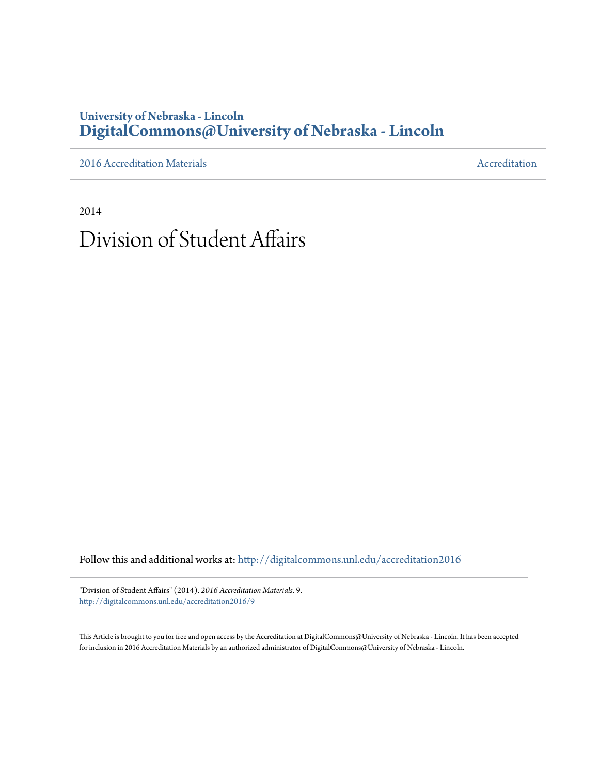## **University of Nebraska - Lincoln [DigitalCommons@University of Nebraska - Lincoln](http://digitalcommons.unl.edu?utm_source=digitalcommons.unl.edu%2Faccreditation2016%2F9&utm_medium=PDF&utm_campaign=PDFCoverPages)**

[2016 Accreditation Materials](http://digitalcommons.unl.edu/accreditation2016?utm_source=digitalcommons.unl.edu%2Faccreditation2016%2F9&utm_medium=PDF&utm_campaign=PDFCoverPages) **[Accreditation](http://digitalcommons.unl.edu/accreditation?utm_source=digitalcommons.unl.edu%2Faccreditation2016%2F9&utm_medium=PDF&utm_campaign=PDFCoverPages) Materials** Accreditation Accreditation

2014

# Division of Student Affairs

Follow this and additional works at: [http://digitalcommons.unl.edu/accreditation2016](http://digitalcommons.unl.edu/accreditation2016?utm_source=digitalcommons.unl.edu%2Faccreditation2016%2F9&utm_medium=PDF&utm_campaign=PDFCoverPages)

"Division of Student Affairs" (2014). *2016 Accreditation Materials*. 9. [http://digitalcommons.unl.edu/accreditation2016/9](http://digitalcommons.unl.edu/accreditation2016/9?utm_source=digitalcommons.unl.edu%2Faccreditation2016%2F9&utm_medium=PDF&utm_campaign=PDFCoverPages)

This Article is brought to you for free and open access by the Accreditation at DigitalCommons@University of Nebraska - Lincoln. It has been accepted for inclusion in 2016 Accreditation Materials by an authorized administrator of DigitalCommons@University of Nebraska - Lincoln.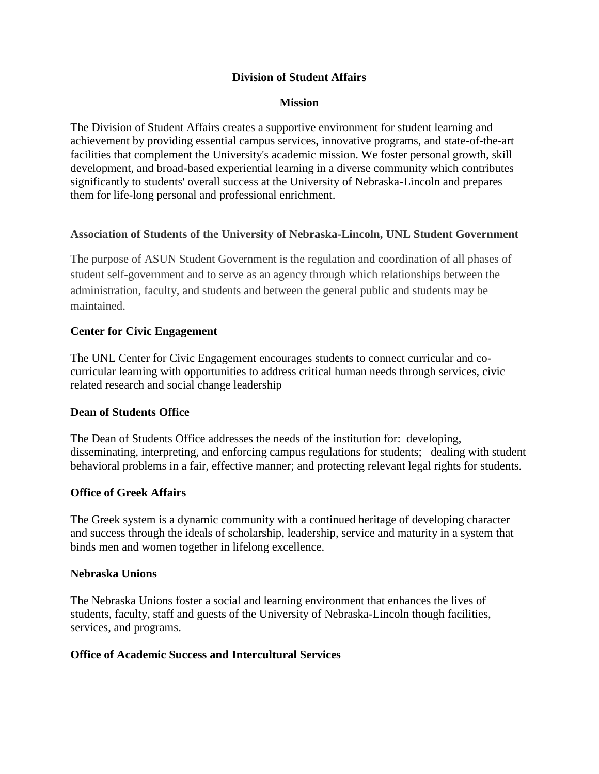#### **Division of Student Affairs**

#### **Mission**

The Division of Student Affairs creates a supportive environment for student learning and achievement by providing essential campus services, innovative programs, and state-of-the-art facilities that complement the University's academic mission. We foster personal growth, skill development, and broad-based experiential learning in a diverse community which contributes significantly to students' overall success at the University of Nebraska-Lincoln and prepares them for life-long personal and professional enrichment.

#### **Association of Students of the University of Nebraska-Lincoln, UNL Student Government**

The purpose of ASUN Student Government is the regulation and coordination of all phases of student self-government and to serve as an agency through which relationships between the administration, faculty, and students and between the general public and students may be maintained.

#### **Center for Civic Engagement**

The UNL Center for Civic Engagement encourages students to connect curricular and cocurricular learning with opportunities to address critical human needs through services, civic related research and social change leadership

#### **Dean of Students Office**

The Dean of Students Office addresses the needs of the institution for: developing, disseminating, interpreting, and enforcing campus regulations for students; dealing with student behavioral problems in a fair, effective manner; and protecting relevant legal rights for students.

#### **Office of Greek Affairs**

The Greek system is a dynamic community with a continued heritage of developing character and success through the ideals of scholarship, leadership, service and maturity in a system that binds men and women together in lifelong excellence.

#### **Nebraska Unions**

The Nebraska Unions foster a social and learning environment that enhances the lives of students, faculty, staff and guests of the University of Nebraska-Lincoln though facilities, services, and programs.

#### **Office of Academic Success and Intercultural Services**